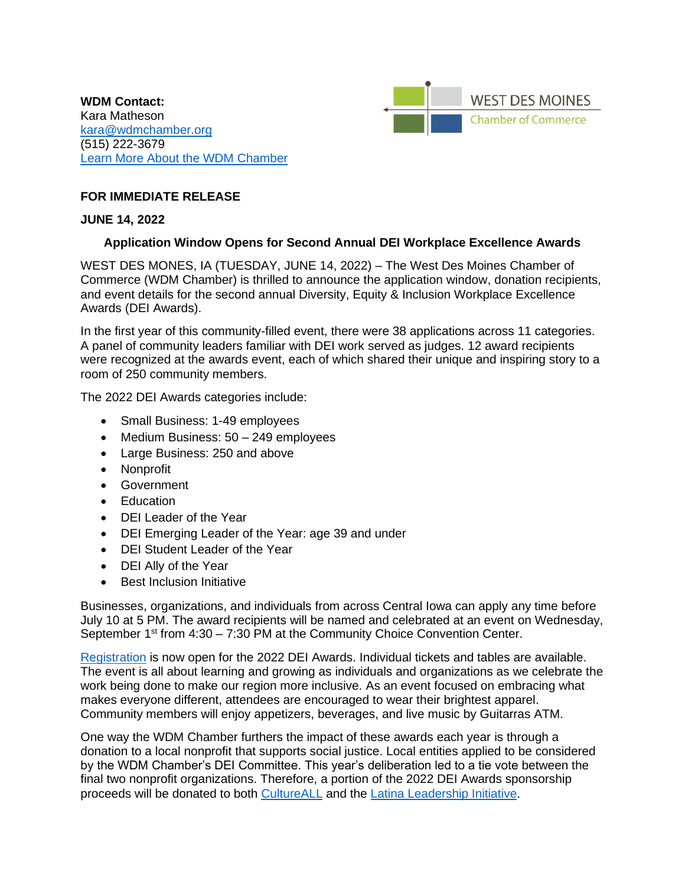**WDM Contact:**  Kara Matheson [kara@wdmchamber.org](mailto:kara@wdmchamber.org) (515) 222-3679 [Learn More About the WDM Chamber](https://wdmchamber.org/)



## **FOR IMMEDIATE RELEASE**

## **JUNE 14, 2022**

## **Application Window Opens for Second Annual DEI Workplace Excellence Awards**

WEST DES MONES, IA (TUESDAY, JUNE 14, 2022) – The West Des Moines Chamber of Commerce (WDM Chamber) is thrilled to announce the application window, donation recipients, and event details for the second annual Diversity, Equity & Inclusion Workplace Excellence Awards (DEI Awards).

In the first year of this community-filled event, there were 38 applications across 11 categories. A panel of community leaders familiar with DEI work served as judges. 12 award recipients were recognized at the awards event, each of which shared their unique and inspiring story to a room of 250 community members.

The 2022 DEI Awards categories include:

- Small Business: 1-49 employees
- Medium Business: 50 249 employees
- Large Business: 250 and above
- Nonprofit
- Government
- Education
- DEI Leader of the Year
- DEI Emerging Leader of the Year: age 39 and under
- DEI Student Leader of the Year
- DEI Ally of the Year
- Best Inclusion Initiative

Businesses, organizations, and individuals from across Central Iowa can apply any time before July 10 at 5 PM. The award recipients will be named and celebrated at an event on Wednesday, September 1<sup>st</sup> from 4:30 – 7:30 PM at the Community Choice Convention Center.

[Registration](https://members.wdmchamber.org/events/details/diversity-equity-inclusion-dei-workplace-excellence-awards-2022-1617?calendarMonth=2022-09-01) is now open for the 2022 DEI Awards. Individual tickets and tables are available. The event is all about learning and growing as individuals and organizations as we celebrate the work being done to make our region more inclusive. As an event focused on embracing what makes everyone different, attendees are encouraged to wear their brightest apparel. Community members will enjoy appetizers, beverages, and live music by Guitarras ATM.

One way the WDM Chamber furthers the impact of these awards each year is through a donation to a local nonprofit that supports social justice. Local entities applied to be considered by the WDM Chamber's DEI Committee. This year's deliberation led to a tie vote between the final two nonprofit organizations. Therefore, a portion of the 2022 DEI Awards sponsorship proceeds will be donated to both [CultureALL](https://www.cultureall.org/) and the [Latina Leadership Initiative.](https://www.latinaleadershipinitiative.org/)